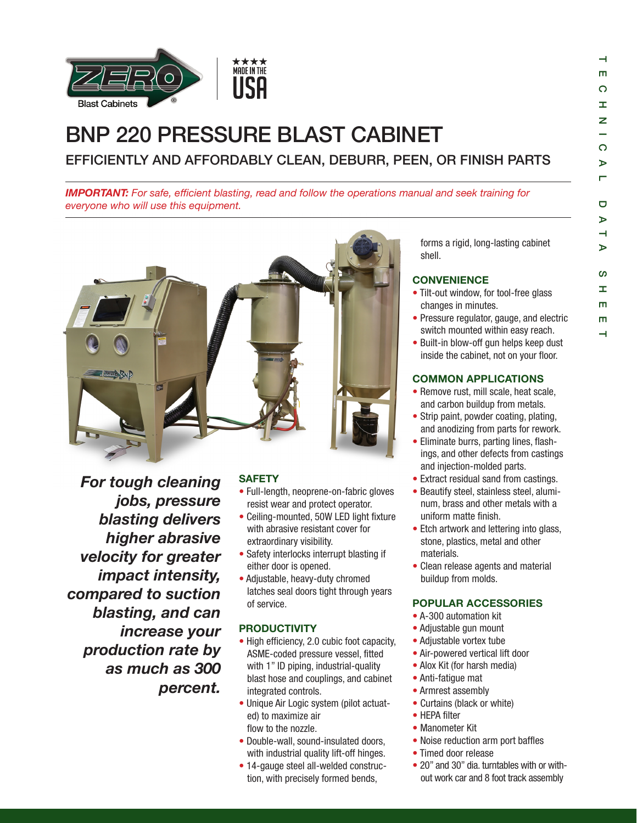

# BNP 220 PRESSURE BLAST CABINET

EFFICIENTLY AND AFFORDABLY CLEAN, DEBURR, PEEN, OR FINISH PARTS

*IMPORTANT: For safe, efficient blasting, read and follow the operations manual and seek training for everyone who will use this equipment.*



*For tough cleaning jobs, pressure blasting delivers higher abrasive velocity for greater impact intensity, compared to suction blasting, and can increase your production rate by as much as 300 percent.*

# **SAFETY**

- Full-length, neoprene-on-fabric gloves resist wear and protect operator.
- Ceiling-mounted, 50W LED light fixture with abrasive resistant cover for extraordinary visibility.
- Safety interlocks interrupt blasting if either door is opened.
- Adjustable, heavy-duty chromed latches seal doors tight through years of service.

# **PRODUCTIVITY**

- High efficiency, 2.0 cubic foot capacity, ASME-coded pressure vessel, fitted with 1" ID piping, industrial-quality blast hose and couplings, and cabinet integrated controls.
- Unique Air Logic system (pilot actuated) to maximize air flow to the nozzle.
- Double-wall, sound-insulated doors, with industrial quality lift-off hinges.
- 14-gauge steel all-welded construction, with precisely formed bends,

forms a rigid, long-lasting cabinet shell.

# **CONVENIENCE**

- Tilt-out window, for tool-free glass changes in minutes.
- Pressure regulator, gauge, and electric switch mounted within easy reach.
- Built-in blow-off gun helps keep dust inside the cabinet, not on your floor.

# **COMMON APPLICATIONS**

- Remove rust, mill scale, heat scale, and carbon buildup from metals.
- Strip paint, powder coating, plating, and anodizing from parts for rework.
- Eliminate burrs, parting lines, flashings, and other defects from castings and injection-molded parts.
- Extract residual sand from castings.
- Beautify steel, stainless steel, aluminum, brass and other metals with a uniform matte finish.
- Etch artwork and lettering into glass, stone, plastics, metal and other materials.
- Clean release agents and material buildup from molds.

# **POPULAR ACCESSORIES**

- A-300 automation kit
- Adjustable gun mount
- Adjustable vortex tube
- Air-powered vertical lift door
- Alox Kit (for harsh media)
- Anti-fatigue mat
- Armrest assembly
- Curtains (black or white)
- HEPA filter
- Manometer Kit
- Noise reduction arm port baffles
- Timed door release
- 20" and 30" dia. turntables with or without work car and 8 foot track assembly